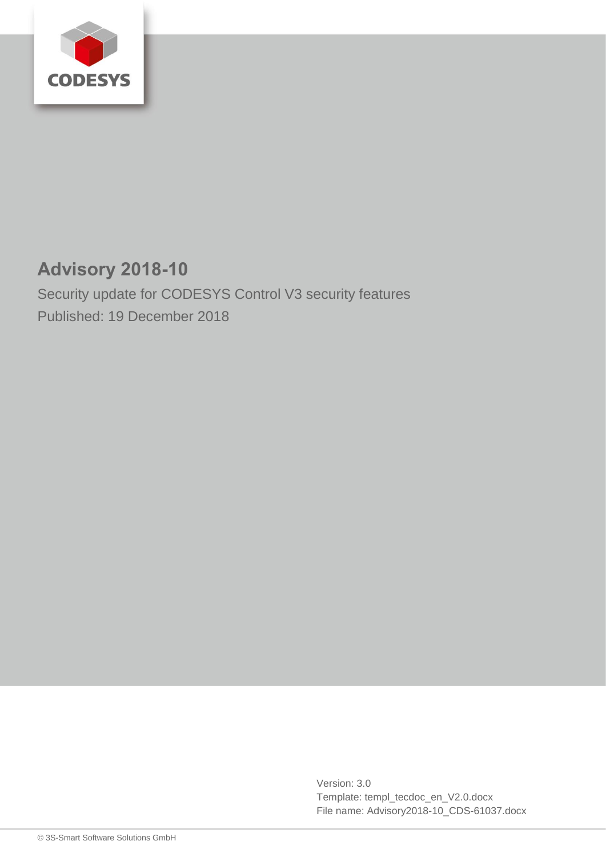

# **Advisory 2018-10**

Security update for CODESYS Control V3 security features Published: 19 December 2018

> Version: 3.0 Template: templ\_tecdoc\_en\_V2.0.docx File name: Advisory2018-10\_CDS-61037.docx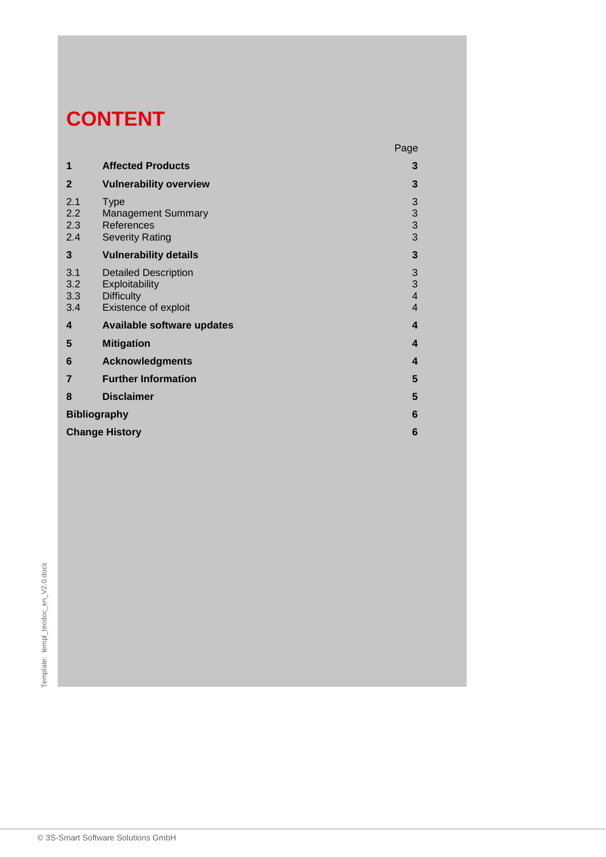# **CONTENT**

|                          |                                                                                            | Page                                                         |
|--------------------------|--------------------------------------------------------------------------------------------|--------------------------------------------------------------|
| 1                        | <b>Affected Products</b>                                                                   | 3                                                            |
| $\mathbf{2}$             | <b>Vulnerability overview</b>                                                              | 3                                                            |
| 2.1<br>2.2<br>2.3<br>2.4 | <b>Type</b><br><b>Management Summary</b><br>References<br><b>Severity Rating</b>           | $\begin{array}{c} 3 \\ 3 \\ 3 \end{array}$                   |
| 3                        | <b>Vulnerability details</b>                                                               | $\mathbf{3}$                                                 |
| 3.1<br>3.2<br>3.3<br>3.4 | <b>Detailed Description</b><br>Exploitability<br><b>Difficulty</b><br>Existence of exploit | $\begin{array}{c} 3 \\ 3 \\ 4 \end{array}$<br>$\overline{4}$ |
| $\boldsymbol{4}$         | <b>Available software updates</b>                                                          | $\overline{\mathbf{4}}$                                      |
| 5                        | <b>Mitigation</b>                                                                          | 4                                                            |
| 6                        | <b>Acknowledgments</b>                                                                     | 4                                                            |
| $\overline{7}$           | <b>Further Information</b>                                                                 | 5                                                            |
| 8                        | <b>Disclaimer</b>                                                                          | 5                                                            |
| <b>Bibliography</b>      |                                                                                            | 6                                                            |
| <b>Change History</b>    |                                                                                            |                                                              |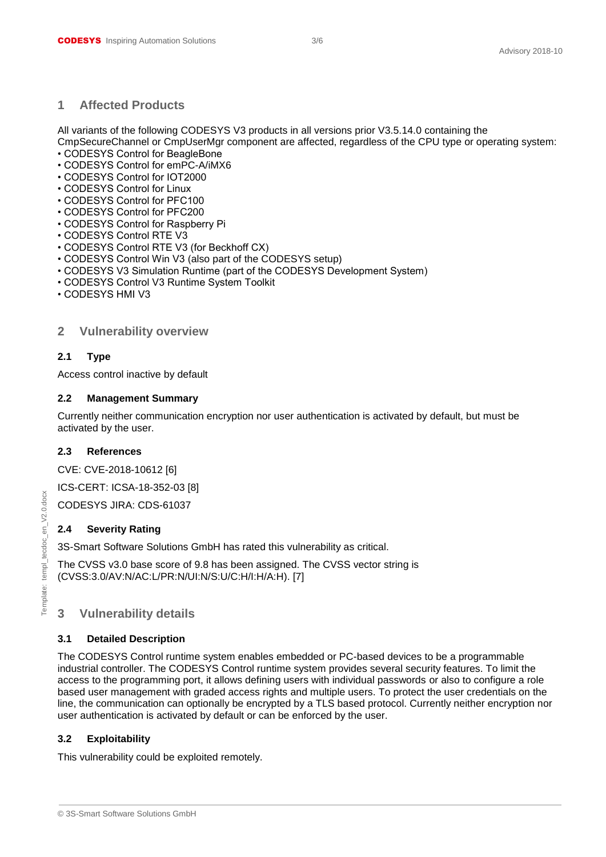#### <span id="page-2-0"></span>**1 Affected Products**

All variants of the following CODESYS V3 products in all versions prior V3.5.14.0 containing the CmpSecureChannel or CmpUserMgr component are affected, regardless of the CPU type or operating system:

- CODESYS Control for BeagleBone
- CODESYS Control for emPC-A/iMX6
- CODESYS Control for IOT2000
- CODESYS Control for Linux
- CODESYS Control for PFC100
- CODESYS Control for PFC200
- CODESYS Control for Raspberry Pi
- CODESYS Control RTE V3
- CODESYS Control RTE V3 (for Beckhoff CX)
- CODESYS Control Win V3 (also part of the CODESYS setup)
- CODESYS V3 Simulation Runtime (part of the CODESYS Development System)
- CODESYS Control V3 Runtime System Toolkit
- <span id="page-2-1"></span>• CODESYS HMI V3

#### **2 Vulnerability overview**

#### <span id="page-2-2"></span>**2.1 Type**

Access control inactive by default

#### <span id="page-2-3"></span>**2.2 Management Summary**

Currently neither communication encryption nor user authentication is activated by default, but must be activated by the user.

#### <span id="page-2-4"></span>**2.3 References**

CVE: CVE-2018-10612 [6]

ICS-CERT: ICSA-18-352-03 [8]

CODESYS JIRA: CDS-61037

#### <span id="page-2-5"></span>**2.4 Severity Rating**

3S-Smart Software Solutions GmbH has rated this vulnerability as critical.

The CVSS v3.0 base score of 9.8 has been assigned. The CVSS vector string is (CVSS:3.0/AV:N/AC:L/PR:N/UI:N/S:U/C:H/I:H/A:H). [7]

# <span id="page-2-6"></span>**3 Vulnerability details**

#### <span id="page-2-7"></span>**3.1 Detailed Description**

The CODESYS Control runtime system enables embedded or PC-based devices to be a programmable industrial controller. The CODESYS Control runtime system provides several security features. To limit the access to the programming port, it allows defining users with individual passwords or also to configure a role based user management with graded access rights and multiple users. To protect the user credentials on the line, the communication can optionally be encrypted by a TLS based protocol. Currently neither encryption nor user authentication is activated by default or can be enforced by the user.

#### <span id="page-2-8"></span>**3.2 Exploitability**

This vulnerability could be exploited remotely.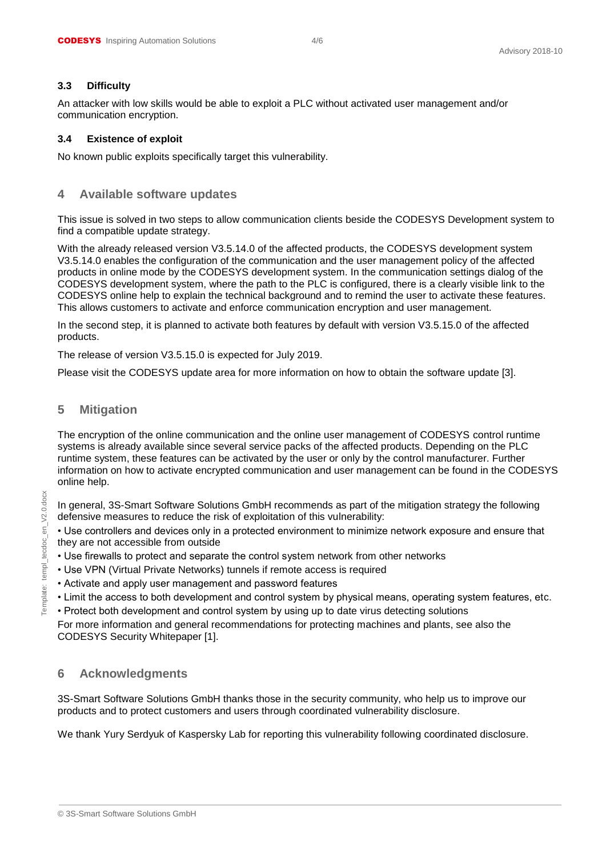#### <span id="page-3-0"></span>**3.3 Difficulty**

An attacker with low skills would be able to exploit a PLC without activated user management and/or communication encryption.

#### <span id="page-3-1"></span>**3.4 Existence of exploit**

<span id="page-3-2"></span>No known public exploits specifically target this vulnerability.

# **4 Available software updates**

This issue is solved in two steps to allow communication clients beside the CODESYS Development system to find a compatible update strategy.

With the already released version V3.5.14.0 of the affected products, the CODESYS development system V3.5.14.0 enables the configuration of the communication and the user management policy of the affected products in online mode by the CODESYS development system. In the communication settings dialog of the CODESYS development system, where the path to the PLC is configured, there is a clearly visible link to the CODESYS online help to explain the technical background and to remind the user to activate these features. This allows customers to activate and enforce communication encryption and user management.

In the second step, it is planned to activate both features by default with version V3.5.15.0 of the affected products.

The release of version V3.5.15.0 is expected for July 2019.

<span id="page-3-3"></span>Please visit the CODESYS update area for more information on how to obtain the software update [3].

## **5 Mitigation**

The encryption of the online communication and the online user management of CODESYS control runtime systems is already available since several service packs of the affected products. Depending on the PLC runtime system, these features can be activated by the user or only by the control manufacturer. Further information on how to activate encrypted communication and user management can be found in the CODESYS online help.

In general, 3S-Smart Software Solutions GmbH recommends as part of the mitigation strategy the following defensive measures to reduce the risk of exploitation of this vulnerability:

• Use controllers and devices only in a protected environment to minimize network exposure and ensure that they are not accessible from outside

- Use firewalls to protect and separate the control system network from other networks
- Use VPN (Virtual Private Networks) tunnels if remote access is required
- Activate and apply user management and password features
- Limit the access to both development and control system by physical means, operating system features, etc.
- Protect both development and control system by using up to date virus detecting solutions

For more information and general recommendations for protecting machines and plants, see also the CODESYS Security Whitepaper [1].

# <span id="page-3-4"></span>**6 Acknowledgments**

3S-Smart Software Solutions GmbH thanks those in the security community, who help us to improve our products and to protect customers and users through coordinated vulnerability disclosure.

We thank Yury Serdyuk of Kaspersky Lab for reporting this vulnerability following coordinated disclosure.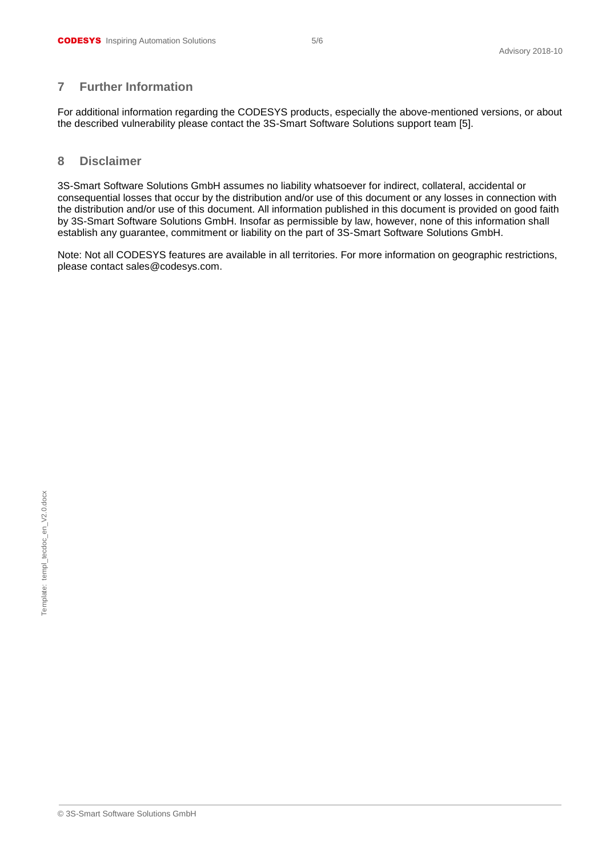# <span id="page-4-0"></span>**7 Further Information**

For additional information regarding the CODESYS products, especially the above-mentioned versions, or about the described vulnerability please contact the 3S-Smart Software Solutions support team [5].

#### <span id="page-4-1"></span>**8 Disclaimer**

3S-Smart Software Solutions GmbH assumes no liability whatsoever for indirect, collateral, accidental or consequential losses that occur by the distribution and/or use of this document or any losses in connection with the distribution and/or use of this document. All information published in this document is provided on good faith by 3S-Smart Software Solutions GmbH. Insofar as permissible by law, however, none of this information shall establish any guarantee, commitment or liability on the part of 3S-Smart Software Solutions GmbH.

Note: Not all CODESYS features are available in all territories. For more information on geographic restrictions, please contact sales@codesys.com.